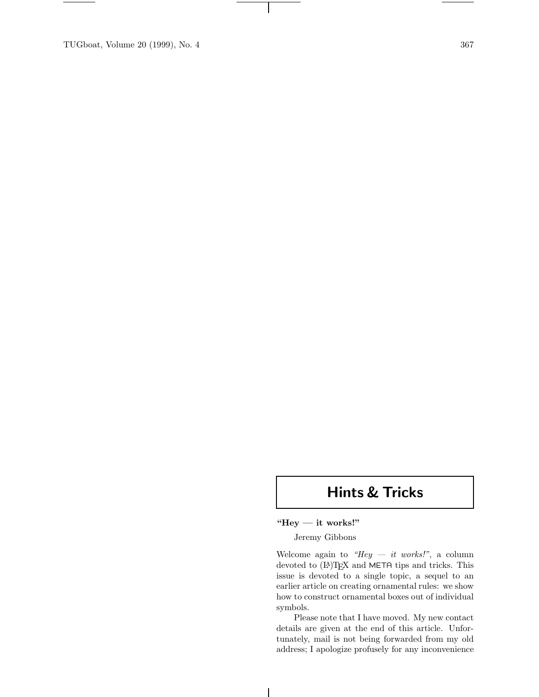TUGboat, Volume 20 (1999), No. 4 367

# **Hints & Tricks**

# **"Hey — it works!"**

 $\overline{\phantom{a}}$ 

Jeremy Gibbons

Welcome again to *"Hey — it works!"*, a column devoted to (IA)TEX and META tips and tricks. This issue is devoted to a single topic, a sequel to an earlier article on creating ornamental rules: we show how to construct ornamental boxes out of individual symbols.

Please note that I have moved. My new contact details are given at the end of this article. Unfortunately, mail is not being forwarded from my old address; I apologize profusely for any inconvenience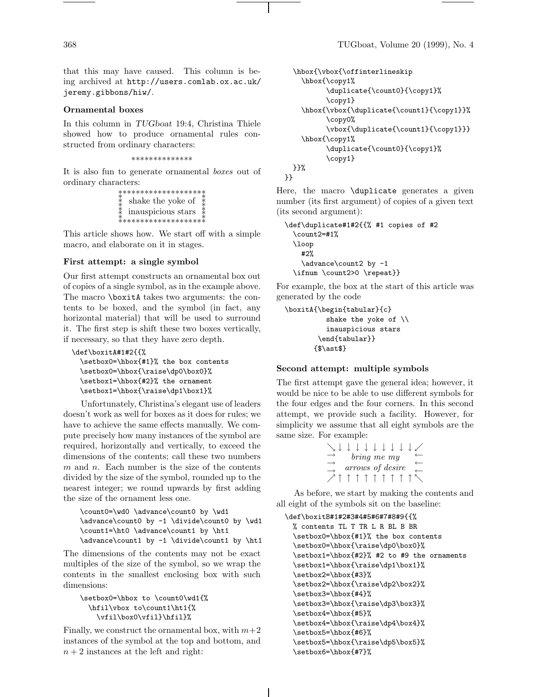that this may have caused. This column is being archived at http://users.comlab.ox.ac.uk/ jeremy.gibbons/hiw/.

### **Ornamental boxes**

In this column in *TUGboat* 19:4, Christina Thiele showed how to produce ornamental rules constructed from ordinary characters:

∗∗∗∗∗∗∗∗∗∗∗∗∗∗

It is also fun to generate ornamental *boxes* out of ordinary characters:

| *********************<br>* shake the yoke of<br>* inauspicious stars<br>********************* |  |
|-----------------------------------------------------------------------------------------------|--|
|                                                                                               |  |

This article shows how. We start off with a simple macro, and elaborate on it in stages.

### **First attempt: a single symbol**

Our first attempt constructs an ornamental box out of copies of a single symbol, as in the example above. The macro \boxitA takes two arguments: the contents to be boxed, and the symbol (in fact, any horizontal material) that will be used to surround it. The first step is shift these two boxes vertically, if necessary, so that they have zero depth.

```
\def\boxitA#1#2{{%
  \setbox0=\hbox{#1}% the box contents
  \setbox0=\hbox{\raise\dp0\box0}%
 \setbox1=\hbox{#2}% the ornament
 \setbox1=\hbox{\raise\dp1\box1}%
```
Unfortunately, Christina's elegant use of leaders doesn't work as well for boxes as it does for rules; we have to achieve the same effects manually. We compute precisely how many instances of the symbol are required, horizontally and vertically, to exceed the dimensions of the contents; call these two numbers *m* and *n*. Each number is the size of the contents divided by the size of the symbol, rounded up to the nearest integer; we round upwards by first adding the size of the ornament less one.

```
\count0=\wd0 \advance\count0 by \wd1
\advance\count0 by -1 \divide\count0 by \wd1
\count1=\ht0 \advance\count1 by \ht1
\advance\count1 by -1 \divide\count1 by \ht1
```
The dimensions of the contents may not be exact multiples of the size of the symbol, so we wrap the contents in the smallest enclosing box with such dimensions:

```
\setbox0=\hbox to \count0\wd1{%
 \hfil\vbox to\count1\ht1{%
    \vfil\box0\vfil}\hfil}%
```
Finally, we construct the ornamental box, with  $m+2$ instances of the symbol at the top and bottom, and  $n + 2$  instances at the left and right:

```
\hbox{\vbox{\offinterlineskip
    \hbox{\copy1%
          \duplicate{\count0}{\copy1}%
          \copy1}
    \hbox{\vbox{\duplicate{\count1}{\copy1}}%
          \copy0%
          \vbox{\duplicate{\count1}{\copy1}}}
    \hbox{\copy1%
          \duplicate{\count0}{\copy1}%
          \copy1}
 }}%
}}
```
Here, the macro \duplicate generates a given number (its first argument) of copies of a given text (its second argument):

```
\def\duplicate#1#2{{% #1 copies of #2
 \count2=#1%
 \loop
   #2%
    \advance\count2 by -1
 \ifnum \count2>0 \repeat}}
```
For example, the box at the start of this article was generated by the code

```
\boxitA{\begin{tabular}{c}
          shake the yoke of \\
          inauspicious stars
        \end{tabular}}
       {$\ast$}
```
#### **Second attempt: multiple symbols**

The first attempt gave the general idea; however, it would be nice to be able to use different symbols for the four edges and the four corners. In this second attempt, we provide such a facility. However, for simplicity we assume that all eight symbols are the same size. For example:

|  |  |  | 1 1 1 1 1 1 1    |  | $\perp$ . |
|--|--|--|------------------|--|-----------|
|  |  |  | bring me my      |  |           |
|  |  |  | arrows of desire |  |           |
|  |  |  |                  |  |           |
|  |  |  | T T T T T T      |  |           |

As before, we start by making the contents and all eight of the symbols sit on the baseline:

```
\def\boxitB#1#2#3#4#5#6#7#8#9{{%
 % contents TL T TR L R BL B BR
 \setbox0=\hbox{#1}% the box contents
 \setbox0=\hbox{\raise\dp0\box0}%
 \setbox1=\hbox{#2}% #2 to #9 the ornaments
 \setbox1=\hbox{\raise\dp1\box1}%
 \setbox2=\hbox{#3}%
 \setbox2=\hbox{\raise\dp2\box2}%
 \setbox3=\hbox{#4}%
 \setbox3=\hbox{\raise\dp3\box3}%
 \setbox4=\hbox{#5}%
 \setbox4=\hbox{\raise\dp4\box4}%
 \setbox5=\hbox{#6}%
 \setbox5=\hbox{\raise\dp5\box5}%
 \setbox6=\hbox{#7}%
```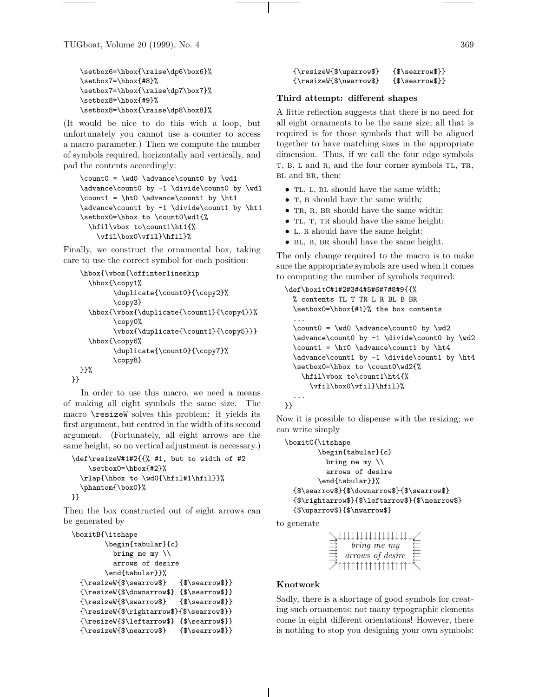TUGboat, Volume 20 (1999), No. 4 369

```
\setbox6=\hbox{\raise\dp6\box6}%
\setbox7=\hbox{#8}%
\setbox7=\hbox{\raise\dp7\box7}%
\setbox8=\hbox{#9}%
\setbox8=\hbox{\raise\dp8\box8}%
```
(It would be nice to do this with a loop, but unfortunately you cannot use a counter to access a macro parameter.) Then we compute the number of symbols required, horizontally and vertically, and pad the contents accordingly:

```
\count0 = \wd0 \advance\count0 by \wd1
\advance\count0 by -1 \divide\count0 by \wd1
\count1 = \ht0 \advance\count1 by \ht1
\advance\count1 by -1 \divide\count1 by \ht1
\setbox0=\hbox to \count0\wd1{%
  \hfil\vbox to\count1\ht1{%
    \vfil\box0\vfil}\hfil}%
```
Finally, we construct the ornamental box, taking care to use the correct symbol for each position:

```
\hbox{\vbox{\offinterlineskip
    \hbox{\copy1%
          \duplicate{\count0}{\copy2}%
          \copy3}
    \hbox{\vbox{\duplicate{\count1}{\copy4}}%
          \copy0%
          \vbox{\duplicate{\count1}{\copy5}}}
    \hbox{\copy6%
          \duplicate{\count0}{\copy7}%
          \copy8}
  }}%
}}
```
In order to use this macro, we need a means of making all eight symbols the same size. The macro \resizeW solves this problem: it yields its first argument, but centred in the width of its second argument. (Fortunately, all eight arrows are the same height, so no vertical adjustment is necessary.)

```
\def\resizeW#1#2{{% #1, but to width of #2
    \setbox0=\hbox{#2}%
  \rlap{\hbox to \wd0{\hfil#1\hfil}}%
  \phantom{\box0}%
}}
```
Then the box constructed out of eight arrows can be generated by

```
\boxitB{\itshape
       \begin{tabular}{c}
         bring me my \\
         arrows of desire
       \end{tabular}}%
 {\resizeW{$\searrow$} {$\searrow$}}
 {\resizeW{$\downarrow$} {$\searrow$}}
 {\resizeW{$\swarrow$} {$\searrow$}}
 {\resizeW{$\rightarrow$}{$\searrow$}}
 {\resizeW{$\leftarrow$} {$\searrow$}}
 {\resizeW{$\nearrow$} {$\searrow$}}
```
{\resizeW{\$\uparrow\$} {\$\searrow\$}} {\resizeW{\$\nwarrow\$} {\$\searrow\$}}

#### **Third attempt: different shapes**

A little reflection suggests that there is no need for all eight ornaments to be the same size; all that is required is for those symbols that will be aligned together to have matching sizes in the appropriate dimension. Thus, if we call the four edge symbols T, B, L and R, and the four corner symbols TL, TR, BL and BR, then:

- TL, L, BL should have the same width;
- T, B should have the same width;
- TR, R, BR should have the same width;
- TL, T, TR should have the same height;
- L, R should have the same height;
- BL, B, BR should have the same height.

The only change required to the macro is to make sure the appropriate symbols are used when it comes to computing the number of symbols required:

```
\def\boxitC#1#2#3#4#5#6#7#8#9{{%
 % contents TL T TR L R BL B BR
 \setbox0=\hbox{#1}% the box contents
 ...
 \count0 = \wd0 \advance\count0 by \wd2
 \advance\count0 by -1 \divide\count0 by \wd2
 \count1 = \ht0 \advance\count1 by \ht4\advance\count1 by -1 \divide\count1 by \ht4
 \setbox0=\hbox to \count0\wd2{%
    \hfil\vbox to\count1\ht4{%
     \vfil\box0\vfil}\hfil}%
 ...
```

```
}}
```
Now it is possible to dispense with the resizing; we can write simply

```
\boxitC{\itshape
```

```
\begin{tabular}{c}
        bring me my \\
        arrows of desire
      \end{tabular}}%
{$\searrow$}{$\downarrow$}{$\swarrow$}
{$\rightarrow$}{$\leftarrow$}{$\nearrow$}
{$\uparrow$}{$\nwarrow$}
```
to generate

```
\rightarrow<u>→</u>↓↓↓↓↓↓↓↓↓↓↓↓↓↓↓↓↓↓↓<u>↓</u><br>
arrows of desire<br>
→→<br>
→↑↑↑↑↑↑↑↑↑↑↑↑↑↑↑↑↑↑↑
                                     arrows of desire
\begin{array}{ll}\n\hline\n\implies\n\hline\n\end{array}\n\quad \text{bring} \begin{array}{ll}\n\hline\n\text{Tr} \\
\hline\n\end{array}\n\quad \text{array} \sigma\text{f} \begin{array}{ll}\n\hline\n\end{array}\n\text{F} \begin{array}{ll}\n\hline\n\end{array}\n\end{array}\n\quad\n\begin{array}{ll}\n\hline\n\end{array}\n\end{array}\n\quad\n\begin{array}{ll}\n\hline\n\end{array}\n\quad\n\begin{array}{ll}\n\hline\n\end{array}\n\text{Tr} \\
\begin{array}{ll}\n\hline\n\end{array}\n\text{Tr
```
## **Knotwork**

Sadly, there is a shortage of good symbols for creating such ornaments; not many typographic elements come in eight different orientations! However, there is nothing to stop you designing your own symbols: